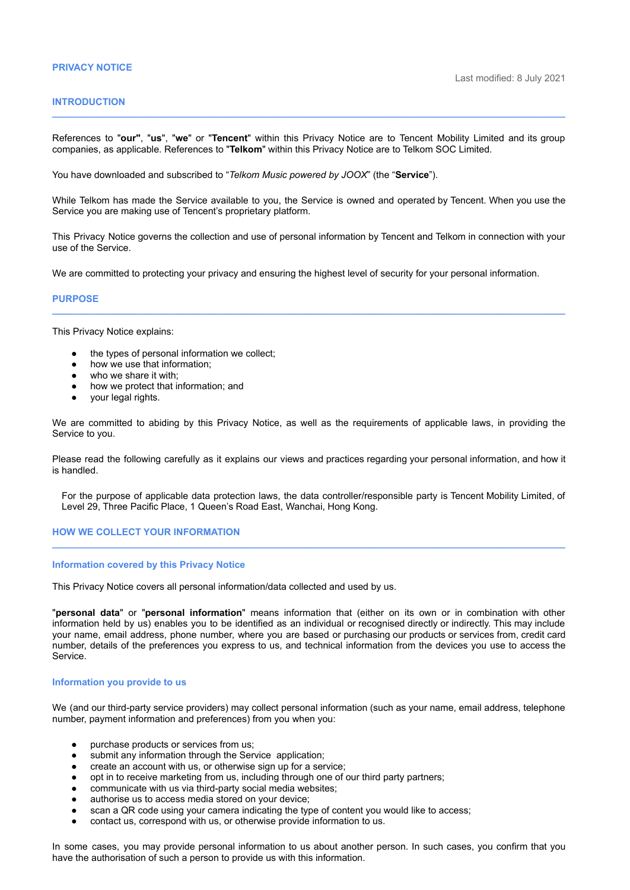### **PRIVACY NOTICE**

# **INTRODUCTION**

References to "**our"**, "**us**", "**we**" or "**Tencent**" within this Privacy Notice are to Tencent Mobility Limited and its group companies, as applicable. References to "**Telkom**" within this Privacy Notice are to Telkom SOC Limited.

**\_\_\_\_\_\_\_\_\_\_\_\_\_\_\_\_\_\_\_\_\_\_\_\_\_\_\_\_\_\_\_\_\_\_\_\_\_\_\_\_\_\_\_\_\_\_\_\_\_\_\_\_\_\_\_\_\_\_\_\_\_\_\_\_\_\_\_\_\_\_\_\_\_\_\_\_\_\_\_\_\_\_\_\_\_\_\_\_\_\_\_\_\_\_\_\_\_**

You have downloaded and subscribed to "*Telkom Music powered by JOOX*" (the "**Service**").

While Telkom has made the Service available to you, the Service is owned and operated by Tencent. When you use the Service you are making use of Tencent's proprietary platform.

This Privacy Notice governs the collection and use of personal information by Tencent and Telkom in connection with your use of the Service.

**\_\_\_\_\_\_\_\_\_\_\_\_\_\_\_\_\_\_\_\_\_\_\_\_\_\_\_\_\_\_\_\_\_\_\_\_\_\_\_\_\_\_\_\_\_\_\_\_\_\_\_\_\_\_\_\_\_\_\_\_\_\_\_\_\_\_\_\_\_\_\_\_\_\_\_\_\_\_\_\_\_\_\_\_\_\_\_\_\_\_\_\_\_\_\_\_\_**

We are committed to protecting your privacy and ensuring the highest level of security for your personal information.

# **PURPOSE**

This Privacy Notice explains:

- the types of personal information we collect:
- how we use that information;
- who we share it with;
- how we protect that information; and
- your legal rights.

We are committed to abiding by this Privacy Notice, as well as the requirements of applicable laws, in providing the Service to you.

Please read the following carefully as it explains our views and practices regarding your personal information, and how it is handled.

For the purpose of applicable data protection laws, the data controller/responsible party is Tencent Mobility Limited, of Level 29, Three Pacific Place, 1 Queen's Road East, Wanchai, Hong Kong.

**\_\_\_\_\_\_\_\_\_\_\_\_\_\_\_\_\_\_\_\_\_\_\_\_\_\_\_\_\_\_\_\_\_\_\_\_\_\_\_\_\_\_\_\_\_\_\_\_\_\_\_\_\_\_\_\_\_\_\_\_\_\_\_\_\_\_\_\_\_\_\_\_\_\_\_\_\_\_\_\_\_\_\_\_\_\_\_\_\_\_\_\_\_\_\_\_\_**

## **HOW WE COLLECT YOUR INFORMATION**

#### **Information covered by this Privacy Notice**

This Privacy Notice covers all personal information/data collected and used by us.

"**personal data**" or "**personal information**" means information that (either on its own or in combination with other information held by us) enables you to be identified as an individual or recognised directly or indirectly. This may include your name, email address, phone number, where you are based or purchasing our products or services from, credit card number, details of the preferences you express to us, and technical information from the devices you use to access the Service.

#### **Information you provide to us**

We (and our third-party service providers) may collect personal information (such as your name, email address, telephone number, payment information and preferences) from you when you:

- purchase products or services from us;
- submit any information through the Service application;
- create an account with us, or otherwise sign up for a service;
- opt in to receive marketing from us, including through one of our third party partners;
- communicate with us via third-party social media websites;
- authorise us to access media stored on your device;
- scan a QR code using your camera indicating the type of content you would like to access;
- contact us, correspond with us, or otherwise provide information to us.

In some cases, you may provide personal information to us about another person. In such cases, you confirm that you have the authorisation of such a person to provide us with this information.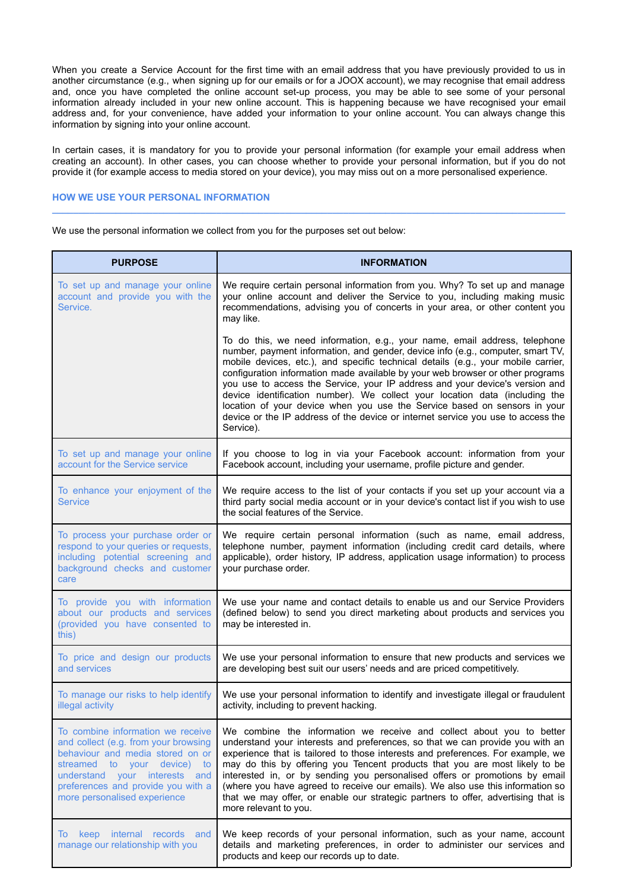When you create a Service Account for the first time with an email address that you have previously provided to us in another circumstance (e.g., when signing up for our emails or for a JOOX account), we may recognise that email address and, once you have completed the online account set-up process, you may be able to see some of your personal information already included in your new online account. This is happening because we have recognised your email address and, for your convenience, have added your information to your online account. You can always change this information by signing into your online account.

In certain cases, it is mandatory for you to provide your personal information (for example your email address when creating an account). In other cases, you can choose whether to provide your personal information, but if you do not provide it (for example access to media stored on your device), you may miss out on a more personalised experience.

**\_\_\_\_\_\_\_\_\_\_\_\_\_\_\_\_\_\_\_\_\_\_\_\_\_\_\_\_\_\_\_\_\_\_\_\_\_\_\_\_\_\_\_\_\_\_\_\_\_\_\_\_\_\_\_\_\_\_\_\_\_\_\_\_\_\_\_\_\_\_\_\_\_\_\_\_\_\_\_\_\_\_\_\_\_\_\_\_\_\_\_\_\_\_\_\_\_**

# **HOW WE USE YOUR PERSONAL INFORMATION**

We use the personal information we collect from you for the purposes set out below:

| <b>PURPOSE</b>                                                                                                                                                                                                                                         | <b>INFORMATION</b>                                                                                                                                                                                                                                                                                                                                                                                                                                                                                                                                                                                                                                                                |
|--------------------------------------------------------------------------------------------------------------------------------------------------------------------------------------------------------------------------------------------------------|-----------------------------------------------------------------------------------------------------------------------------------------------------------------------------------------------------------------------------------------------------------------------------------------------------------------------------------------------------------------------------------------------------------------------------------------------------------------------------------------------------------------------------------------------------------------------------------------------------------------------------------------------------------------------------------|
| To set up and manage your online<br>account and provide you with the<br>Service.                                                                                                                                                                       | We require certain personal information from you. Why? To set up and manage<br>your online account and deliver the Service to you, including making music<br>recommendations, advising you of concerts in your area, or other content you<br>may like.                                                                                                                                                                                                                                                                                                                                                                                                                            |
|                                                                                                                                                                                                                                                        | To do this, we need information, e.g., your name, email address, telephone<br>number, payment information, and gender, device info (e.g., computer, smart TV,<br>mobile devices, etc.), and specific technical details (e.g., your mobile carrier,<br>configuration information made available by your web browser or other programs<br>you use to access the Service, your IP address and your device's version and<br>device identification number). We collect your location data (including the<br>location of your device when you use the Service based on sensors in your<br>device or the IP address of the device or internet service you use to access the<br>Service). |
| To set up and manage your online<br>account for the Service service                                                                                                                                                                                    | If you choose to log in via your Facebook account: information from your<br>Facebook account, including your username, profile picture and gender.                                                                                                                                                                                                                                                                                                                                                                                                                                                                                                                                |
| To enhance your enjoyment of the<br><b>Service</b>                                                                                                                                                                                                     | We require access to the list of your contacts if you set up your account via a<br>third party social media account or in your device's contact list if you wish to use<br>the social features of the Service.                                                                                                                                                                                                                                                                                                                                                                                                                                                                    |
| To process your purchase order or<br>respond to your queries or requests,<br>including potential screening and<br>background checks and customer<br>care                                                                                               | We require certain personal information (such as name, email address,<br>telephone number, payment information (including credit card details, where<br>applicable), order history, IP address, application usage information) to process<br>your purchase order.                                                                                                                                                                                                                                                                                                                                                                                                                 |
| To provide you with information<br>about our products and services<br>(provided you have consented to<br>this)                                                                                                                                         | We use your name and contact details to enable us and our Service Providers<br>(defined below) to send you direct marketing about products and services you<br>may be interested in.                                                                                                                                                                                                                                                                                                                                                                                                                                                                                              |
| To price and design our products<br>and services                                                                                                                                                                                                       | We use your personal information to ensure that new products and services we<br>are developing best suit our users' needs and are priced competitively.                                                                                                                                                                                                                                                                                                                                                                                                                                                                                                                           |
| To manage our risks to help identify<br>illegal activity                                                                                                                                                                                               | We use your personal information to identify and investigate illegal or fraudulent<br>activity, including to prevent hacking.                                                                                                                                                                                                                                                                                                                                                                                                                                                                                                                                                     |
| To combine information we receive<br>and collect (e.g. from your browsing<br>behaviour and media stored on or<br>streamed to your device) to<br>understand your interests<br>and<br>preferences and provide you with a<br>more personalised experience | We combine the information we receive and collect about you to better<br>understand your interests and preferences, so that we can provide you with an<br>experience that is tailored to those interests and preferences. For example, we<br>may do this by offering you Tencent products that you are most likely to be<br>interested in, or by sending you personalised offers or promotions by email<br>(where you have agreed to receive our emails). We also use this information so<br>that we may offer, or enable our strategic partners to offer, advertising that is<br>more relevant to you.                                                                           |
| To keep internal records and<br>manage our relationship with you                                                                                                                                                                                       | We keep records of your personal information, such as your name, account<br>details and marketing preferences, in order to administer our services and<br>products and keep our records up to date.                                                                                                                                                                                                                                                                                                                                                                                                                                                                               |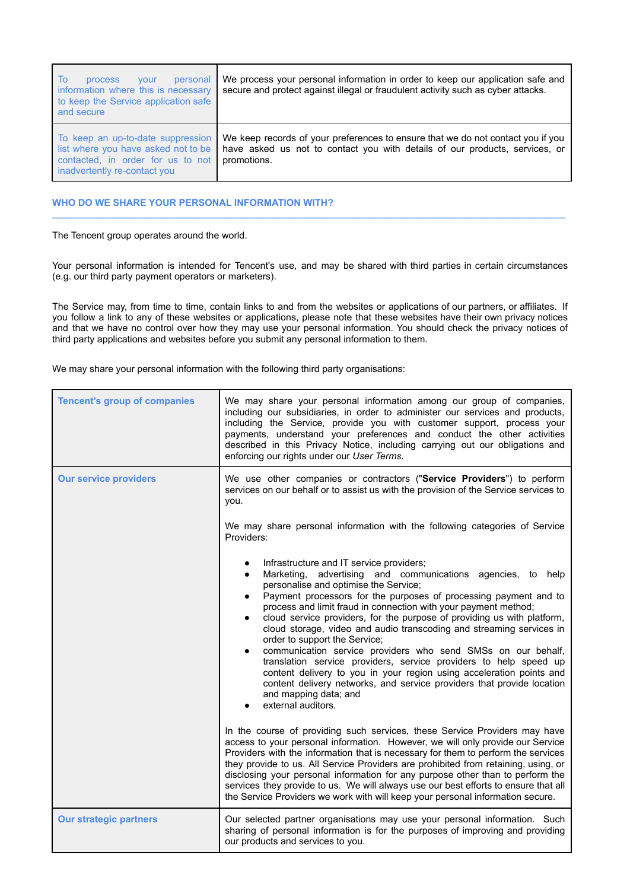| To<br>personal<br><b>process</b><br><b>vour</b><br>information where this is necessary<br>to keep the Service application safe<br>and secure  | We process your personal information in order to keep our application safe and<br>secure and protect against illegal or fraudulent activity such as cyber attacks.            |
|-----------------------------------------------------------------------------------------------------------------------------------------------|-------------------------------------------------------------------------------------------------------------------------------------------------------------------------------|
| To keep an up-to-date suppression<br>list where you have asked not to be<br>contacted, in order for us to not<br>inadvertently re-contact you | We keep records of your preferences to ensure that we do not contact you if you<br>have asked us not to contact you with details of our products, services, or<br>promotions. |

# **WHO DO WE SHARE YOUR PERSONAL INFORMATION WITH?**

The Tencent group operates around the world.

Your personal information is intended for Tencent's use, and may be shared with third parties in certain circumstances (e.g. our third party payment operators or marketers).

**\_\_\_\_\_\_\_\_\_\_\_\_\_\_\_\_\_\_\_\_\_\_\_\_\_\_\_\_\_\_\_\_\_\_\_\_\_\_\_\_\_\_\_\_\_\_\_\_\_\_\_\_\_\_\_\_\_\_\_\_\_\_\_\_\_\_\_\_\_\_\_\_\_\_\_\_\_\_\_\_\_\_\_\_\_\_\_\_\_\_\_\_\_\_\_\_\_**

The Service may, from time to time, contain links to and from the websites or applications of our partners, or affiliates. If you follow a link to any of these websites or applications, please note that these websites have their own privacy notices and that we have no control over how they may use your personal information. You should check the privacy notices of third party applications and websites before you submit any personal information to them.

We may share your personal information with the following third party organisations:

| <b>Tencent's group of companies</b> | We may share your personal information among our group of companies,<br>including our subsidiaries, in order to administer our services and products,<br>including the Service, provide you with customer support, process your<br>payments, understand your preferences and conduct the other activities<br>described in this Privacy Notice, including carrying out our obligations and<br>enforcing our rights under our User Terms.                                                                                                                                                                                                                                                                                                                                                                           |
|-------------------------------------|-------------------------------------------------------------------------------------------------------------------------------------------------------------------------------------------------------------------------------------------------------------------------------------------------------------------------------------------------------------------------------------------------------------------------------------------------------------------------------------------------------------------------------------------------------------------------------------------------------------------------------------------------------------------------------------------------------------------------------------------------------------------------------------------------------------------|
| <b>Our service providers</b>        | We use other companies or contractors ("Service Providers") to perform<br>services on our behalf or to assist us with the provision of the Service services to<br>you.                                                                                                                                                                                                                                                                                                                                                                                                                                                                                                                                                                                                                                            |
|                                     | We may share personal information with the following categories of Service<br>Providers:                                                                                                                                                                                                                                                                                                                                                                                                                                                                                                                                                                                                                                                                                                                          |
|                                     | Infrastructure and IT service providers;<br>Marketing, advertising and communications agencies, to help<br>personalise and optimise the Service;<br>Payment processors for the purposes of processing payment and to<br>process and limit fraud in connection with your payment method;<br>cloud service providers, for the purpose of providing us with platform,<br>cloud storage, video and audio transcoding and streaming services in<br>order to support the Service;<br>communication service providers who send SMSs on our behalf,<br>translation service providers, service providers to help speed up<br>content delivery to you in your region using acceleration points and<br>content delivery networks, and service providers that provide location<br>and mapping data; and<br>external auditors. |
|                                     | In the course of providing such services, these Service Providers may have<br>access to your personal information. However, we will only provide our Service<br>Providers with the information that is necessary for them to perform the services<br>they provide to us. All Service Providers are prohibited from retaining, using, or<br>disclosing your personal information for any purpose other than to perform the<br>services they provide to us. We will always use our best efforts to ensure that all<br>the Service Providers we work with will keep your personal information secure.                                                                                                                                                                                                                |
| <b>Our strategic partners</b>       | Our selected partner organisations may use your personal information. Such<br>sharing of personal information is for the purposes of improving and providing<br>our products and services to you.                                                                                                                                                                                                                                                                                                                                                                                                                                                                                                                                                                                                                 |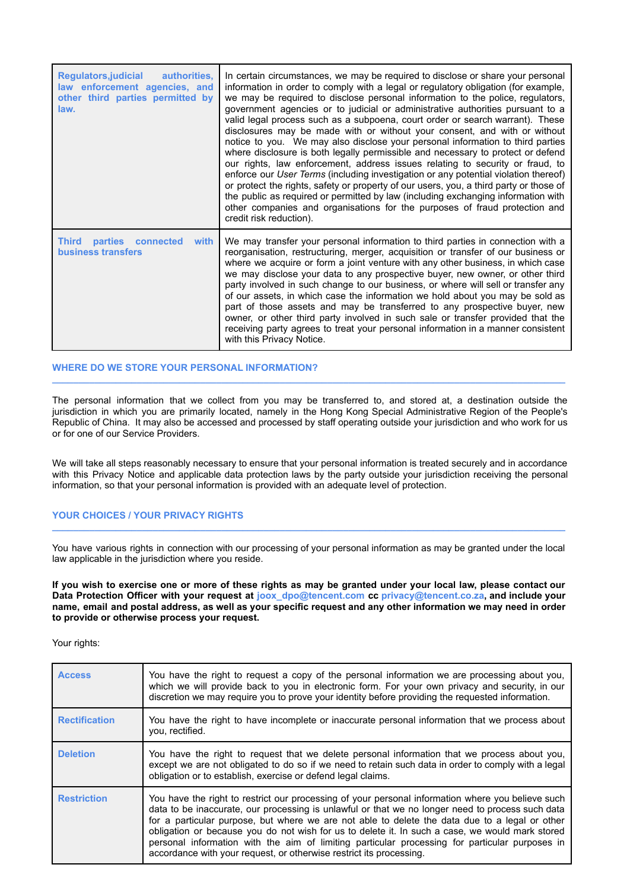| <b>Regulators,judicial</b><br>authorities.<br>law enforcement agencies, and<br>other third parties permitted by<br>law. | In certain circumstances, we may be required to disclose or share your personal<br>information in order to comply with a legal or regulatory obligation (for example,<br>we may be required to disclose personal information to the police, regulators,<br>government agencies or to judicial or administrative authorities pursuant to a<br>valid legal process such as a subpoena, court order or search warrant). These<br>disclosures may be made with or without your consent, and with or without<br>notice to you. We may also disclose your personal information to third parties<br>where disclosure is both legally permissible and necessary to protect or defend<br>our rights, law enforcement, address issues relating to security or fraud, to<br>enforce our <i>User Terms</i> (including investigation or any potential violation thereof)<br>or protect the rights, safety or property of our users, you, a third party or those of<br>the public as required or permitted by law (including exchanging information with<br>other companies and organisations for the purposes of fraud protection and<br>credit risk reduction). |
|-------------------------------------------------------------------------------------------------------------------------|-----------------------------------------------------------------------------------------------------------------------------------------------------------------------------------------------------------------------------------------------------------------------------------------------------------------------------------------------------------------------------------------------------------------------------------------------------------------------------------------------------------------------------------------------------------------------------------------------------------------------------------------------------------------------------------------------------------------------------------------------------------------------------------------------------------------------------------------------------------------------------------------------------------------------------------------------------------------------------------------------------------------------------------------------------------------------------------------------------------------------------------------------------|
| <b>Third</b><br>parties connected<br>with<br><b>business transfers</b>                                                  | We may transfer your personal information to third parties in connection with a<br>reorganisation, restructuring, merger, acquisition or transfer of our business or<br>where we acquire or form a joint venture with any other business, in which case<br>we may disclose your data to any prospective buyer, new owner, or other third<br>party involved in such change to our business, or where will sell or transfer any<br>of our assets, in which case the information we hold about you may be sold as<br>part of those assets and may be transferred to any prospective buyer, new<br>owner, or other third party involved in such sale or transfer provided that the<br>receiving party agrees to treat your personal information in a manner consistent<br>with this Privacy Notice.                                                                                                                                                                                                                                                                                                                                                     |

## **WHERE DO WE STORE YOUR PERSONAL INFORMATION?**

The personal information that we collect from you may be transferred to, and stored at, a destination outside the jurisdiction in which you are primarily located, namely in the Hong Kong Special Administrative Region of the People's Republic of China. It may also be accessed and processed by staff operating outside your jurisdiction and who work for us or for one of our Service Providers.

**\_\_\_\_\_\_\_\_\_\_\_\_\_\_\_\_\_\_\_\_\_\_\_\_\_\_\_\_\_\_\_\_\_\_\_\_\_\_\_\_\_\_\_\_\_\_\_\_\_\_\_\_\_\_\_\_\_\_\_\_\_\_\_\_\_\_\_\_\_\_\_\_\_\_\_\_\_\_\_\_\_\_\_\_\_\_\_\_\_\_\_\_\_\_\_\_\_**

We will take all steps reasonably necessary to ensure that your personal information is treated securely and in accordance with this Privacy Notice and applicable data protection laws by the party outside your jurisdiction receiving the personal information, so that your personal information is provided with an adequate level of protection.

# **YOUR CHOICES / YOUR PRIVACY RIGHTS**

You have various rights in connection with our processing of your personal information as may be granted under the local law applicable in the jurisdiction where you reside.

**\_\_\_\_\_\_\_\_\_\_\_\_\_\_\_\_\_\_\_\_\_\_\_\_\_\_\_\_\_\_\_\_\_\_\_\_\_\_\_\_\_\_\_\_\_\_\_\_\_\_\_\_\_\_\_\_\_\_\_\_\_\_\_\_\_\_\_\_\_\_\_\_\_\_\_\_\_\_\_\_\_\_\_\_\_\_\_\_\_\_\_\_\_\_\_\_\_**

If you wish to exercise one or more of these rights as may be granted under your local law, please contact our **Data Protection Officer with your request at joox\_dpo@tencent.com cc privacy@tencent.co.za, and include your** name, email and postal address, as well as your specific request and any other information we may need in order **to provide or otherwise process your request.**

Your rights:

| <b>Access</b>        | You have the right to request a copy of the personal information we are processing about you,<br>which we will provide back to you in electronic form. For your own privacy and security, in our<br>discretion we may require you to prove your identity before providing the requested information.                                                                                                                                                                                                                                                                                |
|----------------------|-------------------------------------------------------------------------------------------------------------------------------------------------------------------------------------------------------------------------------------------------------------------------------------------------------------------------------------------------------------------------------------------------------------------------------------------------------------------------------------------------------------------------------------------------------------------------------------|
| <b>Rectification</b> | You have the right to have incomplete or inaccurate personal information that we process about<br>vou, rectified.                                                                                                                                                                                                                                                                                                                                                                                                                                                                   |
| <b>Deletion</b>      | You have the right to request that we delete personal information that we process about you,<br>except we are not obligated to do so if we need to retain such data in order to comply with a legal<br>obligation or to establish, exercise or defend legal claims.                                                                                                                                                                                                                                                                                                                 |
| <b>Restriction</b>   | You have the right to restrict our processing of your personal information where you believe such<br>data to be inaccurate, our processing is unlawful or that we no longer need to process such data<br>for a particular purpose, but where we are not able to delete the data due to a legal or other<br>obligation or because you do not wish for us to delete it. In such a case, we would mark stored<br>personal information with the aim of limiting particular processing for particular purposes in<br>accordance with your request, or otherwise restrict its processing. |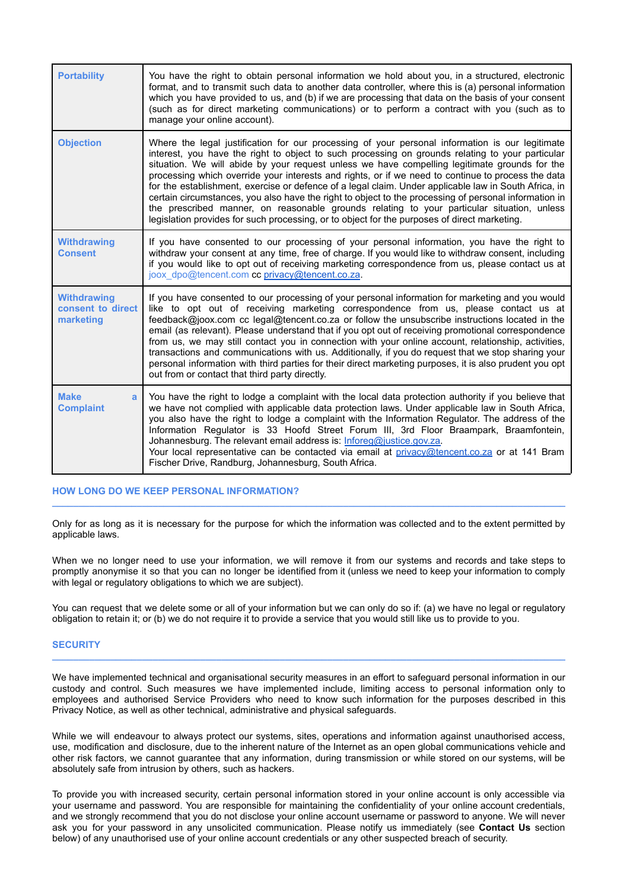| <b>Portability</b>                                   | You have the right to obtain personal information we hold about you, in a structured, electronic<br>format, and to transmit such data to another data controller, where this is (a) personal information<br>which you have provided to us, and (b) if we are processing that data on the basis of your consent<br>(such as for direct marketing communications) or to perform a contract with you (such as to<br>manage your online account).                                                                                                                                                                                                                                                                                                                                                                              |
|------------------------------------------------------|----------------------------------------------------------------------------------------------------------------------------------------------------------------------------------------------------------------------------------------------------------------------------------------------------------------------------------------------------------------------------------------------------------------------------------------------------------------------------------------------------------------------------------------------------------------------------------------------------------------------------------------------------------------------------------------------------------------------------------------------------------------------------------------------------------------------------|
| <b>Objection</b>                                     | Where the legal justification for our processing of your personal information is our legitimate<br>interest, you have the right to object to such processing on grounds relating to your particular<br>situation. We will abide by your request unless we have compelling legitimate grounds for the<br>processing which override your interests and rights, or if we need to continue to process the data<br>for the establishment, exercise or defence of a legal claim. Under applicable law in South Africa, in<br>certain circumstances, you also have the right to object to the processing of personal information in<br>the prescribed manner, on reasonable grounds relating to your particular situation, unless<br>legislation provides for such processing, or to object for the purposes of direct marketing. |
| <b>Withdrawing</b><br><b>Consent</b>                 | If you have consented to our processing of your personal information, you have the right to<br>withdraw your consent at any time, free of charge. If you would like to withdraw consent, including<br>if you would like to opt out of receiving marketing correspondence from us, please contact us at<br>joox dpo@tencent.com cc privacy@tencent.co.za.                                                                                                                                                                                                                                                                                                                                                                                                                                                                   |
| <b>Withdrawing</b><br>consent to direct<br>marketing | If you have consented to our processing of your personal information for marketing and you would<br>like to opt out of receiving marketing correspondence from us, please contact us at<br>feedback@joox.com cc legal@tencent.co.za or follow the unsubscribe instructions located in the<br>email (as relevant). Please understand that if you opt out of receiving promotional correspondence<br>from us, we may still contact you in connection with your online account, relationship, activities,<br>transactions and communications with us. Additionally, if you do request that we stop sharing your<br>personal information with third parties for their direct marketing purposes, it is also prudent you opt<br>out from or contact that third party directly.                                                  |
| <b>Make</b><br>a<br><b>Complaint</b>                 | You have the right to lodge a complaint with the local data protection authority if you believe that<br>we have not complied with applicable data protection laws. Under applicable law in South Africa,<br>you also have the right to lodge a complaint with the Information Regulator. The address of the<br>Information Regulator is 33 Hoofd Street Forum III, 3rd Floor Braampark, Braamfontein,<br>Johannesburg. The relevant email address is: Inforeg@justice.gov.za.<br>Your local representative can be contacted via email at privacy@tencent.co.za or at 141 Bram<br>Fischer Drive, Randburg, Johannesburg, South Africa.                                                                                                                                                                                      |

# **HOW LONG DO WE KEEP PERSONAL INFORMATION?**

Only for as long as it is necessary for the purpose for which the information was collected and to the extent permitted by applicable laws.

**\_\_\_\_\_\_\_\_\_\_\_\_\_\_\_\_\_\_\_\_\_\_\_\_\_\_\_\_\_\_\_\_\_\_\_\_\_\_\_\_\_\_\_\_\_\_\_\_\_\_\_\_\_\_\_\_\_\_\_\_\_\_\_\_\_\_\_\_\_\_\_\_\_\_\_\_\_\_\_\_\_\_\_\_\_\_\_\_\_\_\_\_\_\_\_\_\_**

When we no longer need to use your information, we will remove it from our systems and records and take steps to promptly anonymise it so that you can no longer be identified from it (unless we need to keep your information to comply with legal or regulatory obligations to which we are subject).

You can request that we delete some or all of your information but we can only do so if: (a) we have no legal or regulatory obligation to retain it; or (b) we do not require it to provide a service that you would still like us to provide to you.

## **SECURITY**

We have implemented technical and organisational security measures in an effort to safeguard personal information in our custody and control. Such measures we have implemented include, limiting access to personal information only to employees and authorised Service Providers who need to know such information for the purposes described in this Privacy Notice, as well as other technical, administrative and physical safeguards.

**\_\_\_\_\_\_\_\_\_\_\_\_\_\_\_\_\_\_\_\_\_\_\_\_\_\_\_\_\_\_\_\_\_\_\_\_\_\_\_\_\_\_\_\_\_\_\_\_\_\_\_\_\_\_\_\_\_\_\_\_\_\_\_\_\_\_\_\_\_\_\_\_\_\_\_\_\_\_\_\_\_\_\_\_\_\_\_\_\_\_\_\_\_\_\_\_\_**

While we will endeavour to always protect our systems, sites, operations and information against unauthorised access, use, modification and disclosure, due to the inherent nature of the Internet as an open global communications vehicle and other risk factors, we cannot guarantee that any information, during transmission or while stored on our systems, will be absolutely safe from intrusion by others, such as hackers.

To provide you with increased security, certain personal information stored in your online account is only accessible via your username and password. You are responsible for maintaining the confidentiality of your online account credentials, and we strongly recommend that you do not disclose your online account username or password to anyone. We will never ask you for your password in any unsolicited communication. Please notify us immediately (see **Contact Us** section below) of any unauthorised use of your online account credentials or any other suspected breach of security.